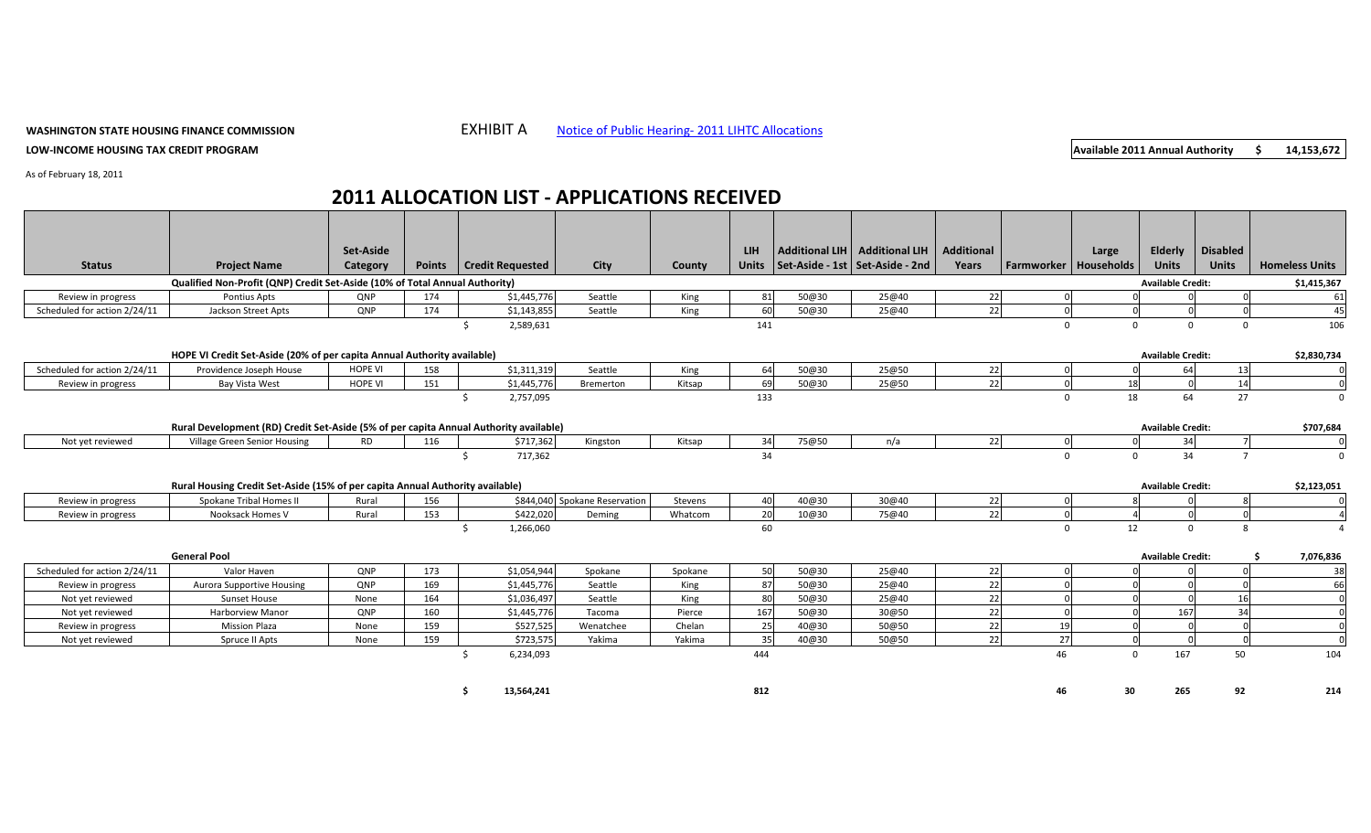## **WASHINGTON STATE HOUSING FINANCE COMMISSION**

**LOW‐INCOME HOUSING TAX CREDIT PROGRAM**

## **EXHIBIT A** Notice of Public Hearing-2011 LIHTC [Allocations](http://www.wshfc.org/tax-credits/NPH_Allocations_February2011.pdf)

**Available 2011 Annual Authority 14,153,672 \$**

As of February 18, 2011

## **2011 ALLOCATION LIST ‐ APPLICATIONS RECEIVED**

|                                                                             |                                                                                       | Set-Aside      |               |                         |             |                               |         | <b>LIH</b> |                          | Additional LIH   Additional LIH           | <b>Additional</b> |                              | Large    | Elderly                  | <b>Disabled</b> |                       |
|-----------------------------------------------------------------------------|---------------------------------------------------------------------------------------|----------------|---------------|-------------------------|-------------|-------------------------------|---------|------------|--------------------------|-------------------------------------------|-------------------|------------------------------|----------|--------------------------|-----------------|-----------------------|
| <b>Status</b>                                                               | <b>Project Name</b>                                                                   | Category       | <b>Points</b> | <b>Credit Requested</b> |             | City                          | County  |            |                          | Units   Set-Aside - 1st   Set-Aside - 2nd | Years             | <b>Farmworker Households</b> |          | <b>Units</b>             | <b>Units</b>    | <b>Homeless Units</b> |
| Qualified Non-Profit (QNP) Credit Set-Aside (10% of Total Annual Authority) |                                                                                       |                |               |                         |             |                               |         |            |                          |                                           |                   |                              |          | <b>Available Credit:</b> |                 | \$1,415,367           |
| Review in progress                                                          | Pontius Apts                                                                          | QNP            | 174           |                         | \$1,445,776 | Seattle                       | King    | 81         | 50@30                    | 25@40                                     | 22                |                              |          |                          |                 | 61                    |
| Scheduled for action 2/24/11                                                | Jackson Street Apts                                                                   | QNP            | 174           |                         | \$1,143,855 | Seattle                       | King    | 60         | 50@30                    | 25@40                                     | 22                |                              |          |                          |                 | 45                    |
|                                                                             |                                                                                       |                |               | Ŝ.                      | 2,589,631   |                               |         | 141        |                          |                                           |                   | $\Omega$                     | $\Omega$ | $\mathbf 0$              | $\Omega$        | 106                   |
|                                                                             |                                                                                       |                |               |                         |             |                               |         |            |                          |                                           |                   |                              |          |                          |                 |                       |
|                                                                             | HOPE VI Credit Set-Aside (20% of per capita Annual Authority available)               |                |               |                         |             |                               |         |            | <b>Available Credit:</b> |                                           | \$2,830,734       |                              |          |                          |                 |                       |
| Scheduled for action 2/24/11                                                | Providence Joseph House                                                               | <b>HOPE VI</b> | 158           |                         | \$1,311,319 | Seattle                       | King    | 64         | 50@30                    | 25@50                                     | 22                |                              |          | 64                       | 13              |                       |
| Review in progress                                                          | Bay Vista West                                                                        | <b>HOPE VI</b> | 151           |                         | \$1,445,776 | <b>Bremerton</b>              | Kitsap  | 69         | 50@30                    | 25@50                                     | 22                |                              | 18       |                          | 14              |                       |
|                                                                             |                                                                                       |                |               | $\zeta$                 | 2,757,095   |                               |         | 133        |                          |                                           |                   |                              | 18       | 64                       | 27              |                       |
|                                                                             | Rural Development (RD) Credit Set-Aside (5% of per capita Annual Authority available) |                |               |                         |             |                               |         |            |                          |                                           |                   |                              |          | <b>Available Credit:</b> |                 | \$707,684             |
| Not yet reviewed                                                            | Village Green Senior Housing                                                          | <b>RD</b>      | 116           |                         | \$717,362   | Kingston                      | Kitsap  | 34         | 75@50                    | n/a                                       | 22                |                              |          | 34                       |                 |                       |
|                                                                             |                                                                                       |                |               |                         | 717,362     |                               |         | 34         |                          |                                           |                   | $\Omega$                     | $\Omega$ | 34                       |                 |                       |
|                                                                             |                                                                                       |                |               |                         |             |                               |         |            |                          |                                           |                   |                              |          |                          |                 |                       |
|                                                                             | Rural Housing Credit Set-Aside (15% of per capita Annual Authority available)         |                |               |                         |             |                               |         |            |                          |                                           |                   |                              |          | <b>Available Credit:</b> |                 | \$2,123,051           |
| Review in progress                                                          | Spokane Tribal Homes II                                                               | Rural          | 156           |                         |             | \$844,040 Spokane Reservation | Stevens | 40         | 40@30                    | 30@40                                     | 22                |                              |          |                          |                 |                       |
| Review in progress                                                          | Nooksack Homes V                                                                      | Rural          | 153           |                         | \$422,020   | Deming                        | Whatcom | 20         | 10@30                    | 75@40                                     | 22                |                              |          |                          |                 |                       |
|                                                                             |                                                                                       |                |               |                         | 1,266,060   |                               |         | 60         |                          |                                           |                   | $\mathbf{0}$                 | 12       | $\overline{0}$           | 8               |                       |
|                                                                             |                                                                                       |                |               |                         |             |                               |         |            |                          |                                           |                   |                              |          |                          |                 |                       |
|                                                                             | <b>General Pool</b>                                                                   |                |               |                         |             |                               |         |            |                          |                                           |                   |                              |          | <b>Available Credit:</b> |                 | 7,076,836             |
| Scheduled for action 2/24/11                                                | Valor Haven                                                                           | QNP            | 173           |                         | \$1,054,944 | Spokane                       | Spokane | 50         | 50@30                    | 25@40                                     | 22                |                              |          |                          |                 | 38                    |
| Review in progress                                                          | <b>Aurora Supportive Housing</b>                                                      | QNP            | 169           |                         | \$1,445,776 | Seattle                       | King    | 87         | 50@30                    | 25@40                                     | 22                |                              |          |                          |                 | 66                    |
| Not yet reviewed                                                            | <b>Sunset House</b>                                                                   | None           | 164           |                         | \$1,036,497 | Seattle                       | King    | 80         | 50@30                    | 25@40                                     | 22                |                              |          |                          | 16              |                       |
| Not yet reviewed                                                            | Harborview Manor                                                                      | QNP            | 160           |                         | \$1,445,776 | Tacoma                        | Pierce  | 167        | 50@30                    | 30@50                                     | 22                |                              |          | 167                      | 34              |                       |
| Review in progress                                                          | <b>Mission Plaza</b>                                                                  | None           | 159           |                         | \$527,525   | Wenatchee                     | Chelan  | 25         | 40@30                    | 50@50                                     | 22                | 19                           |          |                          |                 |                       |
| Not yet reviewed                                                            | Spruce II Apts                                                                        | None           | 159           |                         | \$723,575   | Yakima                        | Yakima  | 35         | 40@30                    | 50@50                                     | 22                | 27                           |          |                          |                 |                       |
|                                                                             |                                                                                       |                |               |                         | 6,234,093   |                               |         | 444        |                          |                                           |                   | 46                           | $\Omega$ | 167                      | 50              | 104                   |
|                                                                             |                                                                                       |                |               |                         |             |                               |         |            |                          |                                           |                   |                              |          |                          |                 |                       |